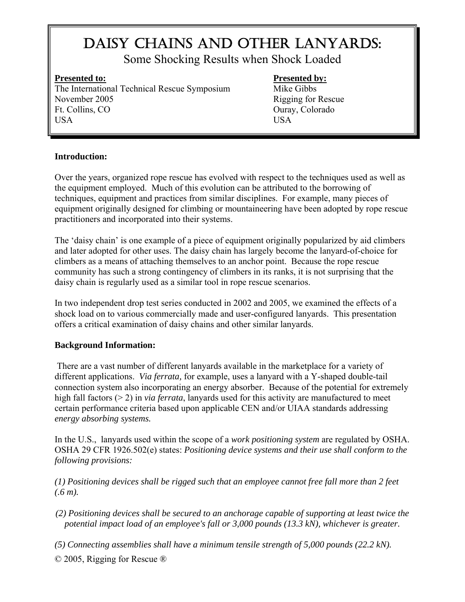# DAISY CHAINS AND OTHER LANYARDS:

Some Shocking Results when Shock Loaded

The International Technical Rescue Symposium Mike Gibbs November 2005 Rigging for Rescue Ft. Collins, CO Ouray, Colorado USA USA

# **Presented to:** Presented by:

# **Introduction:**

Over the years, organized rope rescue has evolved with respect to the techniques used as well as the equipment employed. Much of this evolution can be attributed to the borrowing of techniques, equipment and practices from similar disciplines. For example, many pieces of equipment originally designed for climbing or mountaineering have been adopted by rope rescue practitioners and incorporated into their systems.

The 'daisy chain' is one example of a piece of equipment originally popularized by aid climbers and later adopted for other uses. The daisy chain has largely become the lanyard-of-choice for climbers as a means of attaching themselves to an anchor point. Because the rope rescue community has such a strong contingency of climbers in its ranks, it is not surprising that the daisy chain is regularly used as a similar tool in rope rescue scenarios.

In two independent drop test series conducted in 2002 and 2005, we examined the effects of a shock load on to various commercially made and user-configured lanyards. This presentation offers a critical examination of daisy chains and other similar lanyards.

# **Background Information:**

 There are a vast number of different lanyards available in the marketplace for a variety of different applications. *Via ferrata,* for example, uses a lanyard with a Y-shaped double-tail connection system also incorporating an energy absorber. Because of the potential for extremely high fall factors (> 2) in *via ferrata*, lanyards used for this activity are manufactured to meet certain performance criteria based upon applicable CEN and/or UIAA standards addressing *energy absorbing systems.* 

In the U.S., lanyards used within the scope of a *work positioning system* are regulated by OSHA. OSHA 29 CFR 1926.502(e) states: *Positioning device systems and their use shall conform to the following provisions:* 

*(1) Positioning devices shall be rigged such that an employee cannot free fall more than 2 feet (.6 m).* 

*(2) Positioning devices shall be secured to an anchorage capable of supporting at least twice the potential impact load of an employee's fall or 3,000 pounds (13.3 kN), whichever is greater.* 

*(5) Connecting assemblies shall have a minimum tensile strength of 5,000 pounds (22.2 kN).*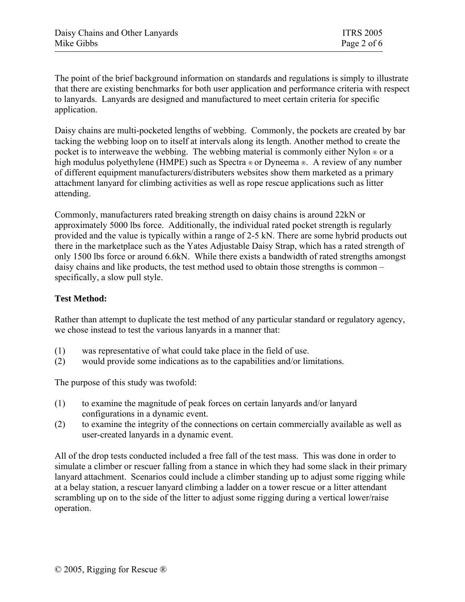The point of the brief background information on standards and regulations is simply to illustrate that there are existing benchmarks for both user application and performance criteria with respect to lanyards. Lanyards are designed and manufactured to meet certain criteria for specific application.

Daisy chains are multi-pocketed lengths of webbing. Commonly, the pockets are created by bar tacking the webbing loop on to itself at intervals along its length. Another method to create the pocket is to interweave the webbing. The webbing material is commonly either Nylon ® or a high modulus polyethylene (HMPE) such as Spectra  $\infty$  or Dyneema  $\infty$ . A review of any number of different equipment manufacturers/distributers websites show them marketed as a primary attachment lanyard for climbing activities as well as rope rescue applications such as litter attending.

Commonly, manufacturers rated breaking strength on daisy chains is around 22kN or approximately 5000 lbs force. Additionally, the individual rated pocket strength is regularly provided and the value is typically within a range of 2-5 kN. There are some hybrid products out there in the marketplace such as the Yates Adjustable Daisy Strap, which has a rated strength of only 1500 lbs force or around 6.6kN. While there exists a bandwidth of rated strengths amongst daisy chains and like products, the test method used to obtain those strengths is common – specifically, a slow pull style.

# **Test Method:**

Rather than attempt to duplicate the test method of any particular standard or regulatory agency, we chose instead to test the various lanyards in a manner that:

- (1) was representative of what could take place in the field of use.
- (2) would provide some indications as to the capabilities and/or limitations.

The purpose of this study was twofold:

- (1) to examine the magnitude of peak forces on certain lanyards and/or lanyard configurations in a dynamic event.
- (2) to examine the integrity of the connections on certain commercially available as well as user-created lanyards in a dynamic event.

All of the drop tests conducted included a free fall of the test mass. This was done in order to simulate a climber or rescuer falling from a stance in which they had some slack in their primary lanyard attachment. Scenarios could include a climber standing up to adjust some rigging while at a belay station, a rescuer lanyard climbing a ladder on a tower rescue or a litter attendant scrambling up on to the side of the litter to adjust some rigging during a vertical lower/raise operation.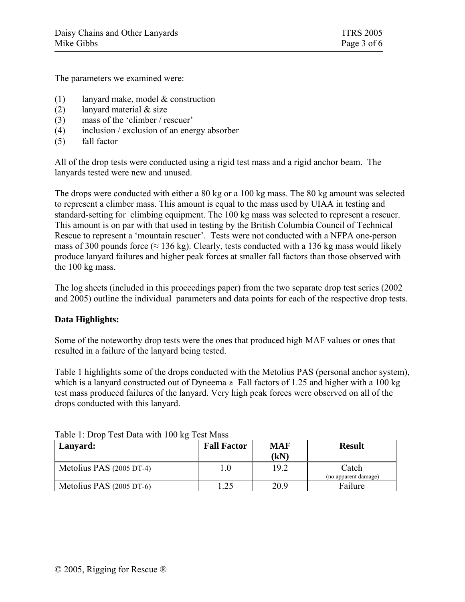The parameters we examined were:

- (1) lanyard make, model & construction
- (2) lanyard material  $&$  size
- (3) mass of the 'climber / rescuer'
- (4) inclusion / exclusion of an energy absorber
- (5) fall factor

All of the drop tests were conducted using a rigid test mass and a rigid anchor beam. The lanyards tested were new and unused.

The drops were conducted with either a 80 kg or a 100 kg mass. The 80 kg amount was selected to represent a climber mass. This amount is equal to the mass used by UIAA in testing and standard-setting for climbing equipment. The 100 kg mass was selected to represent a rescuer. This amount is on par with that used in testing by the British Columbia Council of Technical Rescue to represent a 'mountain rescuer'. Tests were not conducted with a NFPA one-person mass of 300 pounds force ( $\approx$  136 kg). Clearly, tests conducted with a 136 kg mass would likely produce lanyard failures and higher peak forces at smaller fall factors than those observed with the 100 kg mass.

The log sheets (included in this proceedings paper) from the two separate drop test series (2002 and 2005) outline the individual parameters and data points for each of the respective drop tests.

# **Data Highlights:**

Some of the noteworthy drop tests were the ones that produced high MAF values or ones that resulted in a failure of the lanyard being tested.

Table 1 highlights some of the drops conducted with the Metolius PAS (personal anchor system), which is a lanyard constructed out of Dyneema ®. Fall factors of 1.25 and higher with a 100 kg test mass produced failures of the lanyard. Very high peak forces were observed on all of the drops conducted with this lanyard.

| Tuble 1. Drop Test Dutch With Too Re Test Muss<br>Lanyard:<br>Metolius PAS (2005 DT-4) | <b>Fall Factor</b> | <b>MAF</b><br>(kN) | <b>Result</b>                 |  |  |
|----------------------------------------------------------------------------------------|--------------------|--------------------|-------------------------------|--|--|
|                                                                                        | $0.1\,$            | 19.2               | Catch<br>(no apparent damage) |  |  |
| Metolius PAS (2005 DT-6)                                                               | .25                | 20.9               | Failure                       |  |  |

#### Table 1: Drop Test Data with 100 kg Test Mass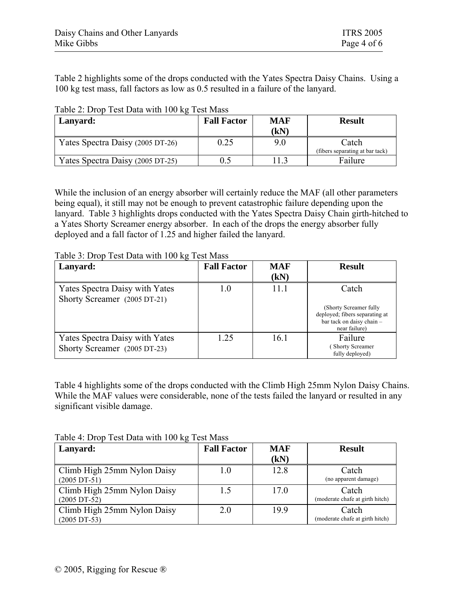Table 2 highlights some of the drops conducted with the Yates Spectra Daisy Chains. Using a 100 kg test mass, fall factors as low as 0.5 resulted in a failure of the lanyard.

| Lanyard:                         | <b>Fall Factor</b> | <b>MAF</b><br>$\bf (kN)$ | <b>Result</b>                            |
|----------------------------------|--------------------|--------------------------|------------------------------------------|
| Yates Spectra Daisy (2005 DT-26) | 0.25               | 9.0                      | Catch<br>(fibers separating at bar tack) |
| Yates Spectra Daisy (2005 DT-25) |                    | 113                      | Failure                                  |

Table 2: Drop Test Data with 100 kg Test Mass

While the inclusion of an energy absorber will certainly reduce the MAF (all other parameters being equal), it still may not be enough to prevent catastrophic failure depending upon the lanyard. Table 3 highlights drops conducted with the Yates Spectra Daisy Chain girth-hitched to a Yates Shorty Screamer energy absorber. In each of the drops the energy absorber fully deployed and a fall factor of 1.25 and higher failed the lanyard.

| Lanyard:                                                       | <b>Fall Factor</b> | <b>MAF</b><br>(kN) | <b>Result</b>                                                                                                    |
|----------------------------------------------------------------|--------------------|--------------------|------------------------------------------------------------------------------------------------------------------|
| Yates Spectra Daisy with Yates<br>Shorty Screamer (2005 DT-21) | 1.0                | 11.1               | Catch<br>(Shorty Screamer fully)<br>deployed; fibers separating at<br>bar tack on daisy chain -<br>near failure) |
| Yates Spectra Daisy with Yates<br>Shorty Screamer (2005 DT-23) | 1.25               | 16.1               | Failure<br><b>Shorty Screamer</b><br>fully deployed)                                                             |

Table 3: Drop Test Data with 100 kg Test Mass

Table 4 highlights some of the drops conducted with the Climb High 25mm Nylon Daisy Chains. While the MAF values were considerable, none of the tests failed the lanyard or resulted in any significant visible damage.

| Lanyard:                    | <b>Fall Factor</b> | <b>MAF</b> | <b>Result</b>                   |
|-----------------------------|--------------------|------------|---------------------------------|
|                             |                    | (kN)       |                                 |
| Climb High 25mm Nylon Daisy |                    | 12.8       | Catch                           |
| $(2005 DT-51)$              |                    |            | (no apparent damage)            |
| Climb High 25mm Nylon Daisy |                    | 17.0       | Catch                           |
| $(2005 DT-52)$              |                    |            | (moderate chafe at girth hitch) |
| Climb High 25mm Nylon Daisy | 2.0                | 19.9       | Catch                           |
| $(2005 DT-53)$              |                    |            | (moderate chafe at girth hitch) |

Table 4: Drop Test Data with 100 kg Test Mass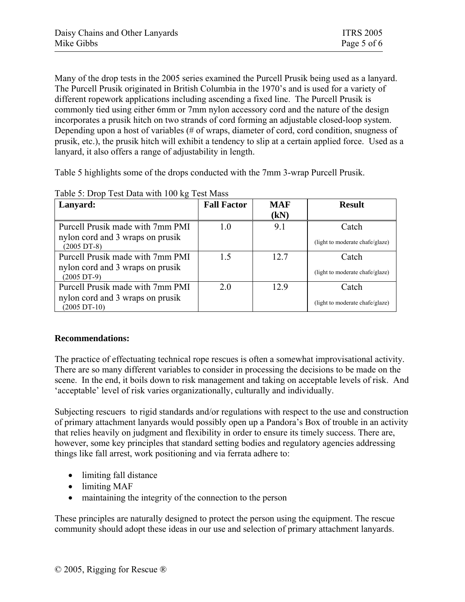Many of the drop tests in the 2005 series examined the Purcell Prusik being used as a lanyard. The Purcell Prusik originated in British Columbia in the 1970's and is used for a variety of different ropework applications including ascending a fixed line. The Purcell Prusik is commonly tied using either 6mm or 7mm nylon accessory cord and the nature of the design incorporates a prusik hitch on two strands of cord forming an adjustable closed-loop system. Depending upon a host of variables (# of wraps, diameter of cord, cord condition, snugness of prusik, etc.), the prusik hitch will exhibit a tendency to slip at a certain applied force. Used as a lanyard, it also offers a range of adjustability in length.

Table 5 highlights some of the drops conducted with the 7mm 3-wrap Purcell Prusik.

| Lanyard:                                                  | <b>Fall Factor</b> | <b>MAF</b><br>(kN) | <b>Result</b>                   |
|-----------------------------------------------------------|--------------------|--------------------|---------------------------------|
| Purcell Prusik made with 7mm PMI                          | 1.0                | 9.1                | Catch                           |
| nylon cord and 3 wraps on prusik<br>$(2005 \text{ DT-}8)$ |                    |                    | (light to moderate chafe/glaze) |
| Purcell Prusik made with 7mm PMI                          | 15                 | 12.7               | Catch                           |
| nylon cord and 3 wraps on prusik<br>$(2005 \text{ DT-9})$ |                    |                    | (light to moderate chafe/glaze) |
| Purcell Prusik made with 7mm PMI                          | 2.0                | 12.9               | Catch                           |
| nylon cord and 3 wraps on prusik<br>$(2005 DT-10)$        |                    |                    | (light to moderate chafe/glaze) |

Table 5: Drop Test Data with 100 kg Test Mass

# **Recommendations:**

The practice of effectuating technical rope rescues is often a somewhat improvisational activity. There are so many different variables to consider in processing the decisions to be made on the scene. In the end, it boils down to risk management and taking on acceptable levels of risk. And 'acceptable' level of risk varies organizationally, culturally and individually.

Subjecting rescuers to rigid standards and/or regulations with respect to the use and construction of primary attachment lanyards would possibly open up a Pandora's Box of trouble in an activity that relies heavily on judgment and flexibility in order to ensure its timely success. There are, however, some key principles that standard setting bodies and regulatory agencies addressing things like fall arrest, work positioning and via ferrata adhere to:

- limiting fall distance
- limiting MAF
- maintaining the integrity of the connection to the person

These principles are naturally designed to protect the person using the equipment. The rescue community should adopt these ideas in our use and selection of primary attachment lanyards.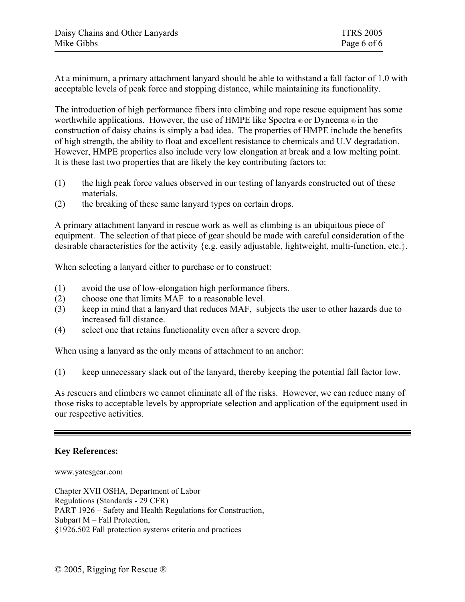At a minimum, a primary attachment lanyard should be able to withstand a fall factor of 1.0 with acceptable levels of peak force and stopping distance, while maintaining its functionality.

The introduction of high performance fibers into climbing and rope rescue equipment has some worthwhile applications. However, the use of HMPE like Spectra  $\infty$  or Dyneema  $\infty$  in the construction of daisy chains is simply a bad idea. The properties of HMPE include the benefits of high strength, the ability to float and excellent resistance to chemicals and U.V degradation. However, HMPE properties also include very low elongation at break and a low melting point. It is these last two properties that are likely the key contributing factors to:

- (1) the high peak force values observed in our testing of lanyards constructed out of these materials.
- (2) the breaking of these same lanyard types on certain drops.

A primary attachment lanyard in rescue work as well as climbing is an ubiquitous piece of equipment. The selection of that piece of gear should be made with careful consideration of the desirable characteristics for the activity {e.g. easily adjustable, lightweight, multi-function, etc.}.

When selecting a lanyard either to purchase or to construct:

- (1) avoid the use of low-elongation high performance fibers.
- (2) choose one that limits MAF to a reasonable level.
- (3) keep in mind that a lanyard that reduces MAF, subjects the user to other hazards due to increased fall distance.
- (4) select one that retains functionality even after a severe drop.

When using a lanyard as the only means of attachment to an anchor:

(1) keep unnecessary slack out of the lanyard, thereby keeping the potential fall factor low.

As rescuers and climbers we cannot eliminate all of the risks. However, we can reduce many of those risks to acceptable levels by appropriate selection and application of the equipment used in our respective activities.

# **Key References:**

#### www.yatesgear.com

Chapter XVII OSHA, Department of Labor Regulations (Standards - 29 CFR) PART 1926 – Safety and Health Regulations for Construction, Subpart M – Fall Protection, §1926.502 Fall protection systems criteria and practices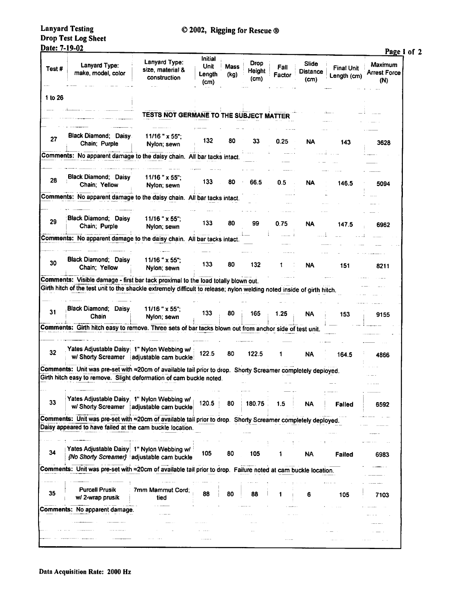**Lanyard Testing** Drop Test Log Sheet Date: 7-19-02

|         |                                                                                                                                                                                                             |                                                   | Initial                |              |                               |                |                                  |                                  | Page 1 of 2                           |
|---------|-------------------------------------------------------------------------------------------------------------------------------------------------------------------------------------------------------------|---------------------------------------------------|------------------------|--------------|-------------------------------|----------------|----------------------------------|----------------------------------|---------------------------------------|
| Test#   | Lanyard Type:<br>make, model, color                                                                                                                                                                         | Lanyard Type:<br>size, material &<br>construction | Unit<br>Length<br>(cm) | Mass<br>(kg) | <b>Drop</b><br>Height<br>(cm) | Fall<br>Factor | Slide<br><b>Distance</b><br>(cm) | <b>Final Unit</b><br>Length (cm) | Maximum<br><b>Arrest Force</b><br>(N) |
| 1 to 26 |                                                                                                                                                                                                             |                                                   |                        |              |                               |                |                                  |                                  |                                       |
|         |                                                                                                                                                                                                             | TESTS NOT GERMANE TO THE SUBJECT MATTER           |                        |              |                               |                |                                  |                                  |                                       |
|         |                                                                                                                                                                                                             |                                                   |                        |              |                               |                |                                  |                                  |                                       |
| 27      | Black Diamond; Daisy<br>Chain; Purple                                                                                                                                                                       | $11/16$ " x 55";<br>Nylon: sewn                   | 132                    | 80           | 33                            | 0.25           | NA                               | 143                              | 3628                                  |
|         | Comments: No apparent damage to the daisy chain. All bar tacks intact.                                                                                                                                      |                                                   |                        |              |                               |                |                                  |                                  |                                       |
| 28      | <b>Black Diamond; Daisy</b><br>Chain; Yellow                                                                                                                                                                | 11/16 " x 55":<br>Nylon; sewn                     | 133                    | 80           | 66.5                          | 0.5            | NA                               | 146.5                            | 5094                                  |
|         | Comments: No apparent damage to the daisy chain. All bar tacks intact.                                                                                                                                      |                                                   |                        |              |                               |                |                                  |                                  |                                       |
| 29      | <b>Black Diamond; Daisy</b><br>Chain; Purple                                                                                                                                                                | $11/16$ " x 55";<br>Nylon; sewn                   | 133                    | 80           | 99                            | 0.75           | NA                               | 147.5                            | 6962                                  |
|         | Comments: No apparent damage to the daisy chain. All bar tacks intact.                                                                                                                                      |                                                   |                        |              |                               |                |                                  |                                  |                                       |
|         |                                                                                                                                                                                                             |                                                   |                        |              |                               |                |                                  |                                  |                                       |
| 30      | <b>Black Diamond; Daisy</b><br>Chain: Yellow                                                                                                                                                                | $11/16$ " $\times$ 55":<br>Nylon; sewn            | 133                    | 80           | 132                           | 1              | <b>NA</b>                        | 151                              | 8211                                  |
|         | Comments: Visible damage - first bar tack proximal to the load totally blown out.<br>Girth hitch of the test unit to the shackle extremely difficult to release; nylon welding noted inside of girth hitch. |                                                   |                        |              |                               |                |                                  |                                  |                                       |
| 31      | Black Diamond; Daisy<br>Chain                                                                                                                                                                               | $11/16$ " x 55";<br>Nylon; sewn                   | 133                    | 80           | 165                           | 1.25           | <b>NA</b>                        | 153                              | 9155                                  |
|         | Comments: Girth hitch easy to remove. Three sets of bar tacks blown out from anchor side of test unit.                                                                                                      |                                                   |                        |              |                               |                |                                  |                                  |                                       |
|         |                                                                                                                                                                                                             |                                                   |                        |              |                               |                |                                  |                                  |                                       |
| 32      | Yates Adjustable Daisy 1" Nylon Webbing w/                                                                                                                                                                  | w/ Shorty Screamer   adjustable cam buckle        | 122.5                  | 80           | 122.5                         | 1              | <b>NA</b>                        | 164.5                            | 4866                                  |
|         | Comments: Unit was pre-set with =20cm of available tail prior to drop. Shorty Screamer completely deployed.                                                                                                 |                                                   |                        |              |                               |                |                                  |                                  |                                       |
|         | Girth hitch easy to remove. Slight deformation of cam buckle noted.                                                                                                                                         |                                                   |                        |              |                               |                |                                  |                                  |                                       |
| 33      | Yates Adjustable Daisy: 1" Nylon Webbing w/<br>w/ Shorty Screamer                                                                                                                                           | adjustable cam buckle                             | 120.5                  | 80           | 180.75                        | 1.5            | NA                               | Falled                           | 6592                                  |
|         | Comments: Unit was pre-set with =20cm of available tail prior to drop. Shorty Screamer completely deployed.                                                                                                 |                                                   |                        |              |                               |                |                                  |                                  |                                       |
|         | Daisy appeared to have failed at the cam buckle location.                                                                                                                                                   |                                                   |                        |              |                               |                |                                  |                                  |                                       |
|         |                                                                                                                                                                                                             |                                                   |                        |              |                               |                |                                  |                                  |                                       |
| 34      | Yates Adjustable Daisy 1" Nylon Webbing w/                                                                                                                                                                  | (No Shorty Screamer) adjustable cam buckle        | 105                    | 80           | 105                           |                | NA                               | Failed                           | 6983                                  |
|         | Comments: Unit was pre-set with =20cm of available tail prior to drop. Failure noted at cam buckle location.                                                                                                |                                                   |                        |              |                               |                |                                  |                                  |                                       |
|         |                                                                                                                                                                                                             |                                                   |                        |              |                               |                |                                  |                                  |                                       |
| 35      | <b>Purcell Prusik</b><br>w/ 2-wrap prusik                                                                                                                                                                   | 7mm Mammut Cord;<br>tied                          | 88                     | 80           | 88                            |                | 6                                | 105                              | 7103                                  |
|         | Comments: No apparent damage.                                                                                                                                                                               |                                                   |                        |              |                               |                |                                  |                                  |                                       |
|         |                                                                                                                                                                                                             |                                                   |                        |              |                               |                |                                  |                                  |                                       |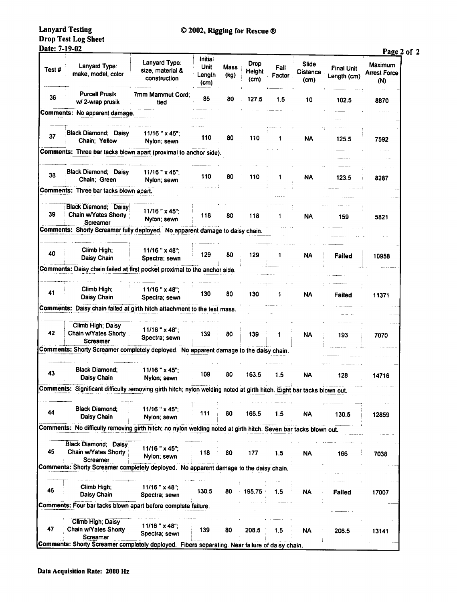**Lanyard Testing** Drop Test Log Sheet<br>Date: 7-19-02

### © 2002, Rigging for Rescue ®

 $\mathbf{p}_t$  $2 of 2$ 

|        |                                                                                                                       |                                                   |                                          |              |                        |                |                                  |                                  | <u>rage</u>                           |
|--------|-----------------------------------------------------------------------------------------------------------------------|---------------------------------------------------|------------------------------------------|--------------|------------------------|----------------|----------------------------------|----------------------------------|---------------------------------------|
| Test # | Lanyard Type:<br>make, model, color                                                                                   | Lanyard Type:<br>size, material &<br>construction | Initial<br><b>Unit</b><br>Length<br>(cm) | Mass<br>(kg) | Drop<br>Height<br>(cm) | Fall<br>Factor | Slide<br><b>Distance</b><br>(cm) | <b>Final Unit</b><br>Length (cm) | Maximum<br><b>Arrest Force</b><br>(N) |
| 36     | <b>Purcell Prusik</b><br>w/2-wrap prusik                                                                              | 7mm Mammut Cord:<br>tied                          | 85                                       | 80           | 127.5                  | 1.5            | 10                               | 102.5                            | 8870                                  |
|        | Comments: No apparent damage.                                                                                         |                                                   |                                          |              |                        |                |                                  |                                  |                                       |
| 37     | <b>Black Diamond; Daisy</b><br>Chain; Yellow                                                                          | 11/16 " x 45":<br>Nylon; sewn                     | 110                                      | 80           | 110                    |                | <b>NA</b>                        | 125.5                            | 7592                                  |
|        | Comments: Three bar tacks blown apart (proximal to anchor side).                                                      |                                                   |                                          |              |                        |                |                                  |                                  |                                       |
| 38     | <b>Black Diamond; Daisy</b><br>Chain; Green                                                                           | $11/16$ " x 45";<br>Nylon; sewn                   | 110                                      | 80           | 110                    |                | <b>NA</b>                        | 123.5                            | 8287                                  |
|        | Comments: Three bar tacks blown apart.                                                                                |                                                   |                                          |              |                        |                |                                  |                                  |                                       |
| 39     | <b>Black Diamond; Daisy</b><br>Chain w/Yates Shorty<br>Screamer                                                       | $11/16$ " $\times$ 45":<br>Nylon; sewn            | 118                                      | 80           | 118                    | 1              | <b>NA</b>                        | 159                              | 5821                                  |
|        | Comments: Shorty Screamer fully deployed. No apparent damage to daisy chain.                                          |                                                   |                                          |              |                        |                |                                  |                                  |                                       |
| 40     | Climb High;<br>Daisy Chain                                                                                            | $11/16$ " x 48";<br>Spectra; sewn                 | 129                                      | 80           | 129                    |                | <b>NA</b>                        | Failed                           | 10958                                 |
|        | Comments: Daisy chain failed at first pocket proximal to the anchor side.                                             |                                                   |                                          |              |                        |                |                                  |                                  |                                       |
| 41     | Climb High;<br>Daisy Chain                                                                                            | 11/16 " x 48";<br>Spectra; sewn                   | 130                                      | 80           | 130                    |                | <b>NA</b>                        | Failed                           | 11371                                 |
|        | Comments: Daisy chain failed at girth hitch attachment to the test mass.                                              |                                                   |                                          |              |                        |                |                                  |                                  |                                       |
| 42     | Climb High; Daisy<br>Chain w/Yates Shorty<br><b>Screamer</b>                                                          | 11/16 " x 48":<br>Spectra; sewn                   | 139                                      | 80           | 139                    |                | <b>NA</b>                        | 193                              | 7070                                  |
|        | Comments: Shorty Screamer completely deployed. No apparent damage to the daisy chain.                                 |                                                   |                                          |              |                        |                |                                  |                                  |                                       |
| 43     | <b>Black Diamond:</b><br><b>Daisy Chain</b>                                                                           | $11/16$ " x 45":<br>Nylon; sewn                   | 109                                      | 80           | 163.5                  | 1.5            | <b>NA</b>                        | 128                              | 14716                                 |
|        | Comments: Significant difficulty removing girth hitch; nylon welding noted at girth hitch. Eight bar tacks blown out. |                                                   |                                          |              |                        |                |                                  |                                  |                                       |
| 44     | <b>Black Diamond:</b><br>Daisy Chain                                                                                  | 11/16 " x 45";<br>Nylon; sewn                     | 111                                      | 80           | 166.5                  | 1.5            | <b>NA</b>                        | 130.5                            | 12859                                 |
|        | Comments: No difficulty removing girth hitch; no nylon welding noted at girth hitch. Seven bar tacks blown out.       |                                                   |                                          |              |                        |                |                                  |                                  |                                       |
| 45     | <b>Black Diamond: Daisy</b><br>Chain w/Yates Shorty<br>Screamer                                                       | 11/16 " x 45";<br>Nylon; sewn                     | 118                                      | 80           | 177                    | 1.5            | <b>NA</b>                        | 166                              | 7038                                  |
|        | Comments: Shorty Screamer completely deployed. No apparent damage to the daisy chain.                                 |                                                   |                                          |              |                        |                |                                  |                                  |                                       |
| 46     | Climb High;<br>Daisy Chain                                                                                            | 11/16 " x 48";<br>Spectra; sewn                   | 130.5                                    | 80           | 195.75                 | 1.5            | <b>NA</b>                        | Failed                           | 17007                                 |
|        | Comments: Four bar tacks blown apart before complete failure.                                                         |                                                   |                                          |              |                        |                |                                  |                                  |                                       |
| 47     | Climb High; Daisy<br>Chain w/Yates Shorty<br>Screamer                                                                 | $11/16$ " $\times$ 48";<br>Spectra; sewn          | 139                                      | 80           | 208.5                  | 1.5            | <b>NA</b>                        | 206.5                            | 13141                                 |
|        | Comments: Shorty Screamer completely deployed. Fibers separating. Near failure of daisy chain.                        |                                                   |                                          |              |                        |                |                                  |                                  |                                       |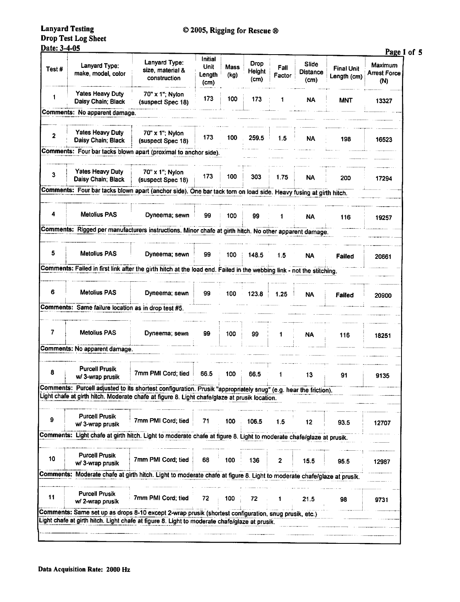#### **Lanyard Testing** Drop Test Log Sheet Date: 3-4-05

| Date: 3-4-05 |                                                     |                                                                                                                        |                                          |              |                               |                |                                  |                                  | Page 1 of 5                           |
|--------------|-----------------------------------------------------|------------------------------------------------------------------------------------------------------------------------|------------------------------------------|--------------|-------------------------------|----------------|----------------------------------|----------------------------------|---------------------------------------|
| Test#        | Lanyard Type:<br>make, model, color                 | Lanyard Type:<br>size, material &<br>construction                                                                      | <b>Initial</b><br>Unit<br>Length<br>(cm) | Mass<br>(kg) | <b>Drop</b><br>Height<br>(cm) | Fall<br>Factor | <b>Slide</b><br>Distance<br>(cm) | <b>Final Unit</b><br>Length (cm) | Maximum<br><b>Arrest Force</b><br>(N) |
| 1            | <b>Yates Heavy Duty</b><br>Daisy Chain; Black       | 70" x 1"; Nylon<br>(suspect Spec 18)                                                                                   | 173                                      | 100          | 173                           | 1              | NA                               | <b>MNT</b>                       | 13327                                 |
|              | Comments: No apparent damage.                       |                                                                                                                        |                                          |              |                               |                |                                  |                                  |                                       |
| 2            | <b>Yates Heavy Duty</b><br>Daisy Chain; Black       | 70" x 1"; Nylon<br>(suspect Spec 18)                                                                                   | 173                                      | 100          | 259.5                         | 1.5            | <b>NA</b>                        | 198                              | 16523                                 |
|              |                                                     | Comments: Four bar tacks blown apart (proximal to anchor side).                                                        |                                          |              |                               |                |                                  |                                  |                                       |
|              |                                                     |                                                                                                                        |                                          |              |                               |                |                                  |                                  |                                       |
| 3            | <b>Yates Heavy Duty</b><br>Daisy Chain; Black       | 70" x 1"; Nylon<br>(suspect Spec 18)                                                                                   | 173                                      | 100          | 303                           | 1.75           | <b>NA</b>                        | 200                              | 17294                                 |
|              |                                                     | Comments: Four bar tacks blown apart (anchor side). One bar tack torn on load side. Heavy fusing at girth hitch.       |                                          |              |                               |                |                                  |                                  |                                       |
| 4            | <b>Metolius PAS</b>                                 | Dyneema; sewn                                                                                                          | 99                                       | 100          | 99                            |                | <b>NA</b>                        | 116                              | 19257                                 |
|              |                                                     | Comments: Rigged per manufacturers instructions. Minor chafe at girth hitch. No other apparent damage.                 |                                          |              |                               |                |                                  |                                  |                                       |
|              |                                                     |                                                                                                                        |                                          |              |                               |                |                                  |                                  |                                       |
| 5            | Metolius PAS                                        | Dyneema; sewn                                                                                                          | 99                                       | 100          | 148.5                         | 1.5            | <b>NA</b>                        | <b>Failed</b>                    | 20661                                 |
|              |                                                     | Comments: Failed in first link after the girth hitch at the load end. Failed in the webbing link - not the stitching.  |                                          |              |                               |                |                                  |                                  |                                       |
| 6            | Metolius PAS                                        | Dyneema; sewn                                                                                                          | 99                                       | 100          | 123.8                         | 1.25           | <b>NA</b>                        | <b>Failed</b>                    | 20900                                 |
|              | Comments: Same failure location as in drop test #5. |                                                                                                                        |                                          |              |                               |                |                                  |                                  |                                       |
|              |                                                     |                                                                                                                        |                                          |              |                               |                |                                  |                                  |                                       |
| 7            | <b>Metolius PAS</b>                                 | Dyneema; sewn                                                                                                          | 99                                       | 100          | 99                            | 1              | <b>NA</b>                        | 116                              | 18251                                 |
|              | Comments: No apparent damage.                       |                                                                                                                        |                                          |              |                               |                |                                  |                                  |                                       |
| 8            | <b>Purcell Prusik</b><br>w/ 3-wrap prusik           | 7mm PMI Cord: tied                                                                                                     | 66.5                                     | 100          | 66.5                          |                | 13                               | 91                               | 9135                                  |
|              |                                                     | Comments: Purcell adjusted to its shortest configuration. Prusik "appropriately snug" (e.g. hear the friction).        |                                          |              |                               |                |                                  |                                  |                                       |
|              |                                                     | Light chafe at girth hitch. Moderate chafe at figure 8. Light chafe/glaze at prusik location.                          |                                          |              |                               |                |                                  |                                  |                                       |
| 9            | <b>Purcell Prusik</b><br>w/ 3-wrap prusik           | 7mm PMI Cord; tied                                                                                                     | 71                                       | 100          | 106.5                         | 1.5            | 12                               | 93.5                             | 12707                                 |
|              |                                                     | Comments: Light chafe at girth hitch. Light to moderate chafe at figure 8. Light to moderate chafe/glaze at prusik.    |                                          |              |                               |                |                                  |                                  |                                       |
| 10           | <b>Purcell Prusik</b><br>w/ 3-wrap prusik           | 7mm PMI Cord; tied                                                                                                     | 68                                       | 100          | 136                           | 2              | 15.5                             | 95.5                             | 12987                                 |
|              |                                                     | Comments: Moderate chafe at girth hitch. Light to moderate chafe at figure 8. Light to moderate chafe/glaze at prusik. |                                          |              |                               |                |                                  |                                  |                                       |
| 11           | <b>Purcell Prusik</b><br>w/ 2-wrap prusik           | 7mm PMI Cord; tied                                                                                                     | 72                                       | 100          | 72                            |                | 21.5                             | 98                               | 9731                                  |
|              |                                                     | Comments: Same set up as drops 8-10 except 2-wrap prusik (shortest configuration, snug prusik, etc.)                   |                                          |              |                               |                |                                  |                                  |                                       |
|              |                                                     | Light chafe at girth hitch. Light chafe at figure 8. Light to moderate chafe/glaze at prusik.                          |                                          |              |                               |                |                                  |                                  |                                       |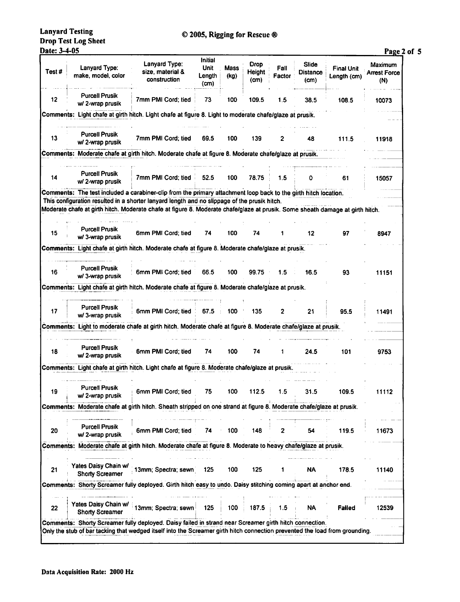**Lanyard Testing Drop Test Log Sheet** Date: 3-4-05

|                  |                                                                                                                                                                                                                                                                                                                                                  |                                                                                      | Initial                |              |                               |                |                                  |                                  | Page 2 of 5                           |
|------------------|--------------------------------------------------------------------------------------------------------------------------------------------------------------------------------------------------------------------------------------------------------------------------------------------------------------------------------------------------|--------------------------------------------------------------------------------------|------------------------|--------------|-------------------------------|----------------|----------------------------------|----------------------------------|---------------------------------------|
| Test #           | Lanyard Type:<br>make, model, color                                                                                                                                                                                                                                                                                                              | Lanyard Type:<br>size, material &<br>construction                                    | Unit<br>Length<br>(cm) | Mass<br>(kg) | <b>Drop</b><br>Height<br>(cm) | Fall<br>Factor | Slide<br><b>Distance</b><br>(cm) | <b>Final Unit</b><br>Length (cm) | Maximum<br><b>Arrest Force</b><br>(N) |
| 12               | <b>Purcell Prusik</b><br>w/ 2-wrap prusik                                                                                                                                                                                                                                                                                                        | 7mm PMI Cord; tied                                                                   | 73                     | 100          | 109.5                         | 1.5            | 38.5                             | 108.5                            | 10073                                 |
|                  | Comments: Light chafe at girth hitch. Light chafe at figure 8. Light to moderate chafe/glaze at prusik.                                                                                                                                                                                                                                          |                                                                                      |                        |              |                               |                |                                  |                                  |                                       |
| 13               | <b>Purcell Prusik</b><br>w/2-wrap prusik                                                                                                                                                                                                                                                                                                         | 7mm PMI Cord; tied                                                                   | 69.5                   | 100          | 139                           | 2              | 48                               | 111.5                            | 11918                                 |
|                  | Comments: Moderate chafe at girth hitch. Moderate chafe at figure 8. Moderate chafe/glaze at prusik.                                                                                                                                                                                                                                             |                                                                                      |                        |              |                               |                |                                  |                                  |                                       |
| 14               | <b>Purcell Prusik</b><br>w/2-wrap prusik                                                                                                                                                                                                                                                                                                         | 7mm PMI Cord; tied                                                                   | 52.5                   | 100          | 78.75                         | 1.5            | ٥                                | 61                               | 15057                                 |
|                  | Comments: The test included a carabiner-clip from the primary attachment loop back to the girth hitch location.<br>This configuration resulted in a shorter lanyard length and no slippage of the prusik hitch.<br>Moderate chafe at girth hitch. Moderate chafe at figure 8. Moderate chafe/glaze at prusik. Some sheath damage at girth hitch. |                                                                                      |                        |              |                               |                |                                  |                                  |                                       |
| 15               | <b>Purcell Prusik</b><br>w/ 3-wrap prusik                                                                                                                                                                                                                                                                                                        | 6mm PMI Cord; tied                                                                   | 74                     | 100          | 74                            |                | 12                               | 97                               | 8947                                  |
|                  | Comments: Light chafe at girth hitch. Moderate chafe at figure 8. Moderate chafe/glaze at prusik.                                                                                                                                                                                                                                                |                                                                                      |                        |              |                               |                |                                  |                                  |                                       |
| 16               | <b>Purcell Prusik</b><br>w/ 3-wrap prusik                                                                                                                                                                                                                                                                                                        | 6mm PMI Cord; tied                                                                   | 66.5                   | 100          | 99.75                         | 1.5            | 16.5                             | 93                               | 11151                                 |
|                  | Comments: Light chafe at girth hitch. Moderate chafe at figure 8. Moderate chafe/glaze at prusik.                                                                                                                                                                                                                                                |                                                                                      |                        |              |                               |                |                                  |                                  |                                       |
| 17               | <b>Purcell Prusik</b><br>w/ 3-wrap prusik                                                                                                                                                                                                                                                                                                        | 6mm PMI Cord; tied                                                                   | 67.5                   | 100          | 135                           | 2              | 21                               | 95.5                             | 11491                                 |
|                  | Comments: Light to moderate chafe at girth hitch. Moderate chafe at figure 8. Moderate chafe/glaze at prusik.                                                                                                                                                                                                                                    |                                                                                      |                        |              |                               |                |                                  |                                  |                                       |
| 18               | <b>Purcell Prusik</b><br>w/2-wrap prusik                                                                                                                                                                                                                                                                                                         | 6mm PMI Cord; tied                                                                   | 74                     | 100          | 74                            |                | 24.5                             | 101                              | 9753                                  |
| <b>Comments:</b> |                                                                                                                                                                                                                                                                                                                                                  | Light chafe at girth hitch. Light chafe at figure 8. Moderate chafe/glaze at prusik. |                        |              |                               |                |                                  |                                  |                                       |
| 19               | <b>PUTCEIL PIUSIK</b><br>w/ 2-wrap prusik                                                                                                                                                                                                                                                                                                        | 6mm PMI Cord; tied                                                                   | 75                     | 100          | 112.5                         | 1.5            | 31.5                             | 109.5                            | 11112                                 |
|                  | Comments: Moderate chafe at girth hitch. Sheath stripped on one strand at figure 8. Moderate chafe/glaze at prusik.                                                                                                                                                                                                                              |                                                                                      |                        |              |                               |                |                                  |                                  |                                       |
|                  | <b>Purcell Prusik</b>                                                                                                                                                                                                                                                                                                                            |                                                                                      |                        |              |                               |                |                                  |                                  |                                       |
| 20               | w/2-wrap prusik                                                                                                                                                                                                                                                                                                                                  | 6mm PMI Cord; tied                                                                   | 74                     | 100          | 148                           | 2              | 54                               | 119.5                            | 11673                                 |
|                  | Comments: Moderate chafe at girth hitch. Moderate chafe at figure 8. Moderate to heavy chafe/glaze at prusik.                                                                                                                                                                                                                                    |                                                                                      |                        |              |                               |                |                                  |                                  |                                       |
| 21               | Yates Daisy Chain w/<br><b>Shorty Screamer</b>                                                                                                                                                                                                                                                                                                   | 13mm; Spectra; sewn)                                                                 | 125                    | 100          | 125                           | 1              | NA                               | 178.5                            | 11140                                 |
|                  | Comments: Shorty Screamer fully deployed. Girth hitch easy to undo. Daisy stitching coming apart at anchor end.                                                                                                                                                                                                                                  |                                                                                      |                        |              |                               |                |                                  |                                  |                                       |
|                  |                                                                                                                                                                                                                                                                                                                                                  | Yates Daisy Chain w/ 13mm; Spectra; sewn                                             | 125                    | 100          | 187.5                         | 1.5            | <b>NA</b>                        | Failed                           | 12539                                 |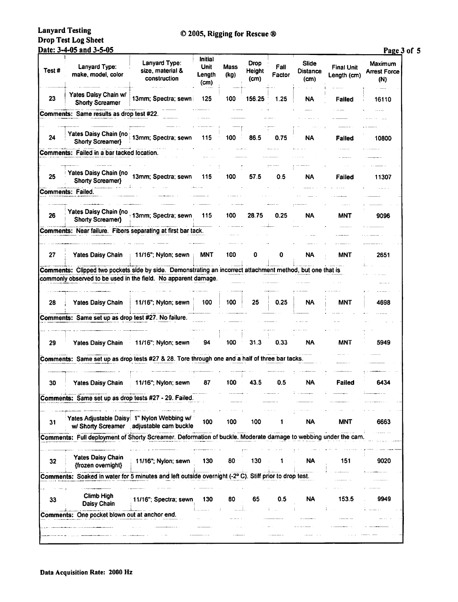**Lanyard Testing** Drop Test Log Sheet Date: 3-4-05 and 3-5-05

## © 2005, Rigging for Rescue ®

Page 3 of 5

| Test# | Lanyard Type:<br>make, model, color                                                                            | Lanyard Type:<br>size, material &<br>construction                                      | Initial<br>Unit<br>Length<br>(cm) | Mass<br>(kg) | <b>Drop</b><br><b>Height</b><br>(cm) | Fall<br>Factor | Slide<br><b>Distance</b><br>(c <sub>m</sub> ) | <b>Final Unit</b><br>Length (cm) | Maximum<br><b>Arrest Force</b><br>(N) |
|-------|----------------------------------------------------------------------------------------------------------------|----------------------------------------------------------------------------------------|-----------------------------------|--------------|--------------------------------------|----------------|-----------------------------------------------|----------------------------------|---------------------------------------|
| 23    | Yates Daisy Chain w/<br><b>Shorty Screamer</b>                                                                 | 13mm; Spectra; sewn)                                                                   | 125                               | 100          | 156.25                               | 1.25           | NA                                            | Failed                           | 16110                                 |
|       | Comments: Same results as drop test #22.                                                                       |                                                                                        |                                   |              |                                      |                |                                               |                                  |                                       |
| 24    | Yates Daisy Chain (no<br>Shorty Screamer}                                                                      | 13mm; Spectra; sewn                                                                    | 115                               | 100          | 86.5                                 | 0.75           | NA                                            | Failed                           | 10800                                 |
|       | Comments: Failed in a bar tacked location.                                                                     |                                                                                        |                                   |              |                                      |                |                                               |                                  |                                       |
| 25    | Yates Daisy Chain (no<br>Shorty Screamer}                                                                      | 13mm; Spectra; sewn                                                                    | 115                               | 100          | 57.5                                 | 0.5            | NA                                            | <b>Failed</b>                    | 11307                                 |
|       | <b>Comments: Failed.</b>                                                                                       |                                                                                        |                                   |              |                                      |                |                                               |                                  |                                       |
| 26    | <b>Shorty Screamer)</b>                                                                                        | Yates Daisy Chain (no 13mm; Spectra; sewn                                              | 115                               | 100          | 28.75                                | 0.25           | NA                                            | MNT                              | 9096                                  |
|       | Comments: Near failure. Fibers separating at first bar tack.                                                   |                                                                                        |                                   |              |                                      |                |                                               |                                  |                                       |
| 27    | <b>Yates Daisy Chain</b>                                                                                       | 11/16"; Nylon; sewn                                                                    | MNT                               | 100          | 0                                    | 0              | <b>NA</b>                                     | <b>MNT</b>                       | 2651                                  |
|       | Comments: Clipped two pockets side by side. Demonstrating an incorrect attachment method, but one that is      |                                                                                        |                                   |              |                                      |                |                                               |                                  |                                       |
|       | commonly observed to be used in the field. No apparent damage.                                                 |                                                                                        |                                   |              |                                      |                |                                               |                                  |                                       |
| 28    | <b>Yates Daisy Chain</b>                                                                                       | 11/16"; Nylon; sewn                                                                    | 100                               | 100          | 25                                   | 0.25           | <b>NA</b>                                     | MNT                              | 4698                                  |
|       | Comments: Same set up as drop test #27. No failure.                                                            |                                                                                        |                                   |              |                                      |                |                                               |                                  |                                       |
| 29    | <b>Yates Daisy Chain</b>                                                                                       | 11/16"; Nylon; sewn                                                                    | 94                                | 100          | 31.3                                 | 0.33           | NA                                            | MNT                              | 5949                                  |
|       | Comments: Same set up as drop tests #27 & 28. Tore through one and a half of three bar tacks.                  |                                                                                        |                                   |              |                                      |                |                                               |                                  |                                       |
| 30    | <b>Yates Daisy Chain</b>                                                                                       | 11/16"; Nylon; sewn                                                                    | 87                                | 100          | 43.5                                 | 0.5            | <b>NA</b>                                     | Failed                           | 6434                                  |
|       | Comments: Same set up as drop tests #27 - 29. Failed.                                                          |                                                                                        |                                   |              |                                      |                |                                               |                                  |                                       |
| 31    |                                                                                                                | Yates Adjustable Daisy 1" Nylon Webbing w/<br>w/ Shorty Screamer adjustable cam buckle | 100                               | 100          | 100                                  | 1              | NA                                            | MNT                              | 6663                                  |
|       | Comments: Full deployment of Shorty Screamer. Deformation of buckle. Moderate damage to webbing under the cam. |                                                                                        |                                   |              |                                      |                |                                               |                                  |                                       |
| 32    | <b>Yates Daisy Chain</b><br>{frozen overnight}                                                                 | 11/16"; Nylon; sewn                                                                    | 130                               | 80           | 130                                  |                | <b>NA</b>                                     | 151                              | 9020                                  |
|       | Comments: Soaked in water for 5 minutes and left outside overnight (-2° C). Stiff prior to drop test.          |                                                                                        |                                   |              |                                      |                |                                               |                                  |                                       |
| 33    | Climb High<br><b>Daisy Chain</b>                                                                               | 11/16"; Spectra; sewn                                                                  | 130                               | 80           | 65                                   | 0.5            | <b>NA</b>                                     | 153.5                            | 9949                                  |
|       | Comments: One pocket blown out at anchor end.                                                                  |                                                                                        |                                   |              |                                      |                |                                               |                                  |                                       |
|       |                                                                                                                |                                                                                        |                                   |              |                                      |                |                                               |                                  |                                       |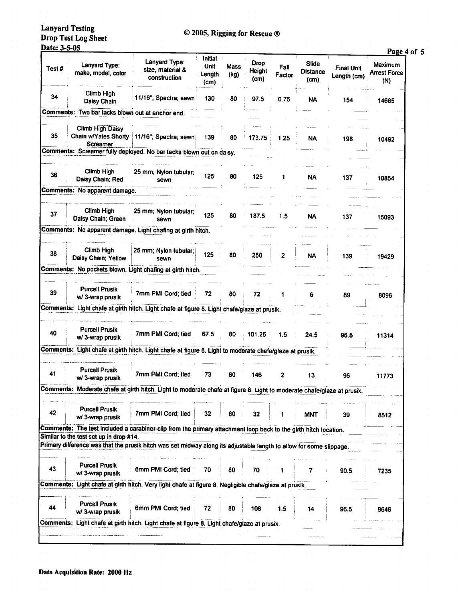| <b>Lanyard Testing</b>     |
|----------------------------|
| <b>Drop Test Log Sheet</b> |
|                            |

# © 2005, Rigging for Rescue ®

#### Date: 3-5-05

|       | <u> Date: 3-5-05</u>                             |                                                                                                                        | <b>Initial</b>         |              |                        |                |                                  |                                  | Page 4 of 5                           |
|-------|--------------------------------------------------|------------------------------------------------------------------------------------------------------------------------|------------------------|--------------|------------------------|----------------|----------------------------------|----------------------------------|---------------------------------------|
| Test# | Lanyard Type:<br>make, model, color              | Lanyard Type:<br>size, material &<br>construction                                                                      | Unit<br>Length<br>(cm) | Mass<br>(kg) | Drop<br>Height<br>(cm) | Fall<br>Factor | Slide<br><b>Distance</b><br>(cm) | <b>Final Unit</b><br>Length (cm) | Maximum<br><b>Arrest Force</b><br>(N) |
| 34    | Climb High<br>Daisy Chain                        | 11/16"; Spectra; sewn                                                                                                  | 130                    | 80           | 97.5                   | 0.75           | NA                               | 154                              | 14685                                 |
|       | Comments: Two bar tacks blown out at anchor end. |                                                                                                                        |                        |              |                        |                |                                  |                                  |                                       |
| 35    | <b>Climb High Daisy</b><br>Screamer              | Chain w/Yates Shorty   11/16"; Spectra; sewn)                                                                          | 139                    | 80           | 173.75                 | 1.25           | NA                               | 198                              | 10492                                 |
|       |                                                  | Comments: Screamer fully deployed. No bar tacks blown out on daisy.                                                    |                        |              |                        |                |                                  |                                  |                                       |
| 36    | Climb High<br>Daisy Chain; Red                   | 25 mm; Nylon tubular;<br>sewn                                                                                          | 125                    | 80           | 125                    | 1              | <b>NA</b>                        | 137                              | 10854                                 |
|       | Comments: No apparent damage.                    |                                                                                                                        |                        |              |                        |                |                                  |                                  |                                       |
| 37    | Climb High<br>Daisy Chain; Green                 | 25 mm; Nylon tubular;<br>sewn                                                                                          | 125                    | 80           | 187.5                  | 1.5            | NA                               | 137                              | 15093                                 |
|       |                                                  | Comments: No apparent damage. Light chafing at girth hitch.                                                            |                        |              |                        |                |                                  |                                  |                                       |
| 38    | <b>Climb High</b><br>Daisy Chain; Yellow         | 25 mm; Nylon tubular;<br>sewn                                                                                          | 125                    | 80           | 250                    | 2              | NA                               | 139                              | 19429                                 |
|       |                                                  | Comments: No pockets blown. Light chafing at girth hitch.                                                              |                        |              |                        |                |                                  |                                  |                                       |
| 39    | <b>Purcell Prusik</b><br>w/ 3-wrap prusik        | 7mm PMI Cord; tied                                                                                                     | 72                     | 80           | 72                     | 1              | 6                                | 89                               | 8096                                  |
|       |                                                  | Comments: Light chafe at girth hitch. Light chafe at figure 8. Light chafe/glaze at prusik.                            |                        |              |                        |                |                                  |                                  |                                       |
| 40    | <b>Purcell Prusik</b><br>w/ 3-wrap prusik        | 7mm PMI Cord; tied                                                                                                     | 67.5                   | 80           | 101.25                 | 1.5            | 24.5                             | 96.5                             | 11314                                 |
|       |                                                  | Comments: Light chafe at girth hitch. Light chafe at figure 8. Light to moderate chafe/glaze at prusik.                |                        |              |                        |                |                                  |                                  |                                       |
| 41    | <b>Purcell Prusik</b>                            | 7mm PMI Cord; tied                                                                                                     | 73                     | 80           | 146                    | 2              | 13                               | 96                               | 11773                                 |
|       | w/ 3-wrap prusik                                 | Comments: Moderate chafe at girth hitch. Light to moderate chafe at figure 8. Light to moderate chafe/glaze at prusik. |                        |              |                        |                |                                  |                                  |                                       |
|       |                                                  |                                                                                                                        |                        |              |                        |                |                                  |                                  |                                       |
| 42    | <b>Purcell Prusik</b><br>w/ 3-wrap prusik        | 7mm PMI Cord; tied                                                                                                     | 32                     | 80           | 32                     |                | MNT                              | 39                               | 8512                                  |
|       | Similar to the test set up in drop #14.          | Comments: The test included a carabiner-clip from the primary attachment loop back to the girth hitch location.        |                        |              |                        |                |                                  |                                  |                                       |
|       |                                                  | Primary difference was that the prusik hitch was set midway along its adjustable length to allow for some slippage     |                        |              |                        |                |                                  |                                  |                                       |
| 43    | <b>Purcell Prusik</b><br>w/ 3-wrap prusik        | 6mm PMI Cord; tied                                                                                                     | 70                     | 80           | 70                     |                |                                  | 90.5                             | 7235                                  |
|       |                                                  | Comments: Light chafe at girth hitch. Very light chafe at figure 8. Negligible chafe/glaze at prusik.                  |                        |              |                        |                |                                  |                                  |                                       |
| 44    | <b>Purcell Prusik</b><br>w/ 3-wrap prusik        | 6mm PMI Cord; tied                                                                                                     | 72                     | 80           | 108                    | 1.5            | 14                               | 96.5                             | 9646                                  |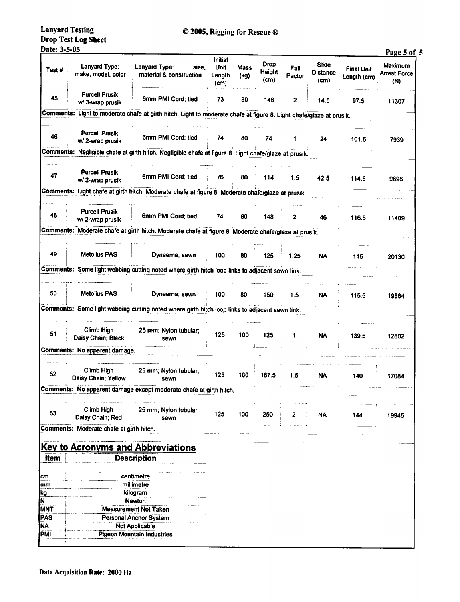# **Lanyard Testing** Drop Test Log Sheet<br>Date: 3-5-05

| <u> Date: 3-5-05</u> |                                                               |                                                                                                           |                                          |              |                               |                |                                  |                                  | Page 5 of 5                           |
|----------------------|---------------------------------------------------------------|-----------------------------------------------------------------------------------------------------------|------------------------------------------|--------------|-------------------------------|----------------|----------------------------------|----------------------------------|---------------------------------------|
| Test#                | Lanyard Type:<br>make, model, color                           | Lanyard Type:<br>size.<br>material & construction                                                         | Initial<br><b>Unit</b><br>Length<br>(cm) | Mass<br>(kg) | <b>Drop</b><br>Height<br>(cm) | Fall<br>Factor | Slide<br><b>Distance</b><br>(cm) | <b>Final Unit</b><br>Length (cm) | Maximum<br><b>Arrest Force</b><br>(N) |
| 45                   | <b>Purcell Prusik</b><br>w/ 3-wrap prusik                     | 6mm PMI Cord; tied                                                                                        | 73                                       | 80           | 146                           | 2              | 14.5                             | 97.5                             | 11307                                 |
| Comments:            |                                                               | Light to moderate chafe at girth hitch. Light to moderate chafe at figure 8. Light chafe/glaze at prusik. |                                          |              |                               |                |                                  |                                  |                                       |
|                      |                                                               |                                                                                                           |                                          |              |                               |                |                                  |                                  |                                       |
| 46                   | <b>Purcell Prusik</b><br>w/ 2-wrap prusik                     | 6mm PMI Cord; tied                                                                                        | 74                                       | 80           | 74                            | 1              | 24                               | 101.5                            | 7939                                  |
| Comments:            |                                                               | Negligible chafe at girth hitch. Negligible chafe at figure 8. Light chafe/glaze at prusik.               |                                          |              |                               |                |                                  |                                  |                                       |
| 47                   | <b>Purcell Prusik</b><br>w/2-wrap prusik                      | 6mm PMI Cord; tied                                                                                        | 76                                       | 80           | 114                           | 1.5            | 42.5                             | 114.5                            | 9696                                  |
|                      |                                                               | Comments: Light chafe at girth hitch. Moderate chafe at figure 8. Moderate chafe/glaze at prusik.         |                                          |              |                               |                |                                  |                                  |                                       |
|                      |                                                               |                                                                                                           |                                          |              |                               |                |                                  |                                  |                                       |
| 48                   | <b>Purcell Prusik</b><br>w/ 2-wrap prusik                     | 6mm PMI Cord; tied                                                                                        | 74                                       | 80           | 148                           | 2              | 46                               | 116.5                            | 11409                                 |
|                      |                                                               | Comments: Moderate chafe at girth hitch. Moderate chafe at figure 8. Moderate chafe/glaze at prusik.      |                                          |              |                               |                |                                  |                                  |                                       |
| 49                   | <b>Metolius PAS</b>                                           |                                                                                                           |                                          |              |                               |                |                                  |                                  |                                       |
|                      |                                                               | Dyneema; sewn                                                                                             | 100                                      | 80           | 125                           | 1.25           | NA                               | 115                              | 20130                                 |
|                      |                                                               | Comments: Some light webbing cutting noted where girth hitch loop links to adjacent sewn link.            |                                          |              |                               |                |                                  |                                  |                                       |
| 50                   | <b>Metolius PAS</b>                                           | Dyneema; sewn                                                                                             | 100                                      | 80           | 150                           | 1.5            | NA                               | 115.5                            | 19864                                 |
|                      |                                                               | Comments: Some light webbing cutting noted where girth hitch loop links to adjacent sewn link.            |                                          |              |                               |                |                                  |                                  |                                       |
| 51                   | <b>Climb High</b><br>Daisy Chain; Black                       | 25 mm; Nylon tubular;<br>sewn                                                                             | 125                                      | 100          | 125                           | 1              | <b>NA</b>                        | 139.5                            | 12802                                 |
|                      | Comments: No apparent damage.                                 |                                                                                                           |                                          |              |                               |                |                                  |                                  |                                       |
|                      |                                                               |                                                                                                           |                                          |              |                               |                |                                  |                                  |                                       |
| 52                   | Climb High<br>Daisy Chain; Yellow                             | 25 mm; Nylon tubular;<br>sewn                                                                             | 125                                      | 100          | 187.5                         | 1.5            | <b>NA</b>                        | 140                              | 17084                                 |
|                      |                                                               | Comments: No apparent damage except moderate chafe at girth hitch.                                        |                                          |              |                               |                |                                  |                                  |                                       |
| 53                   | Climb High<br>Daisy Chain; Red                                | 25 mm; Nylon tubular;<br>sewn                                                                             | 125                                      | 100          | 250                           | 2              | NA                               | 144                              | 19945                                 |
|                      | Comments: Moderate chafe at girth hitch.                      |                                                                                                           |                                          |              |                               |                |                                  |                                  |                                       |
|                      |                                                               | <b>Key to Acronyms and Abbreviations</b>                                                                  |                                          |              |                               |                |                                  |                                  |                                       |
| Item                 |                                                               | <b>Description</b>                                                                                        |                                          |              |                               |                |                                  |                                  |                                       |
| cm                   |                                                               | centimetre                                                                                                |                                          |              |                               |                |                                  |                                  |                                       |
| mm                   | millimetre                                                    |                                                                                                           |                                          |              |                               |                |                                  |                                  |                                       |
| kg                   |                                                               | kilogram                                                                                                  |                                          |              |                               |                |                                  |                                  |                                       |
| N<br><b>MNT</b>      |                                                               | <b>Newton</b>                                                                                             |                                          |              |                               |                |                                  |                                  |                                       |
| <b>PAS</b>           | <b>Measurement Not Taken</b><br><b>Personal Anchor System</b> |                                                                                                           |                                          |              |                               |                |                                  |                                  |                                       |
| NΑ                   | <b>Not Applicable</b>                                         |                                                                                                           |                                          |              |                               |                |                                  |                                  |                                       |
| PMI                  |                                                               | <b>Pigeon Mountain Industries</b>                                                                         |                                          |              |                               |                |                                  |                                  |                                       |
|                      |                                                               |                                                                                                           |                                          |              |                               |                |                                  |                                  |                                       |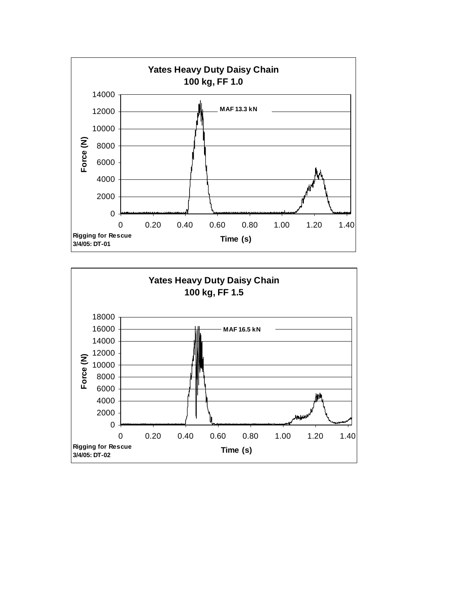

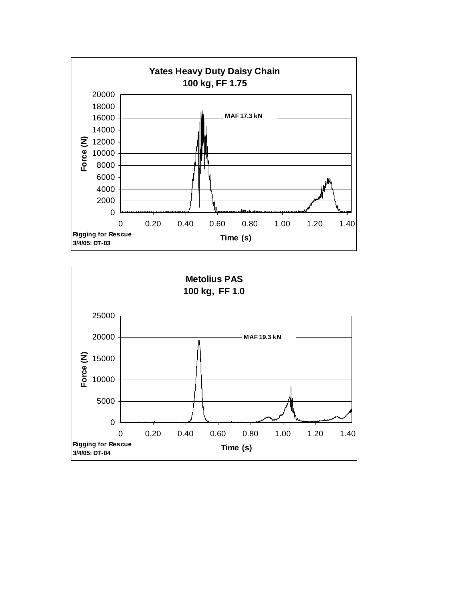

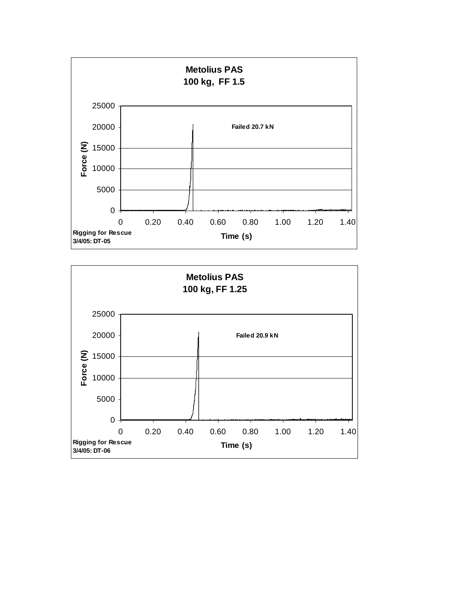

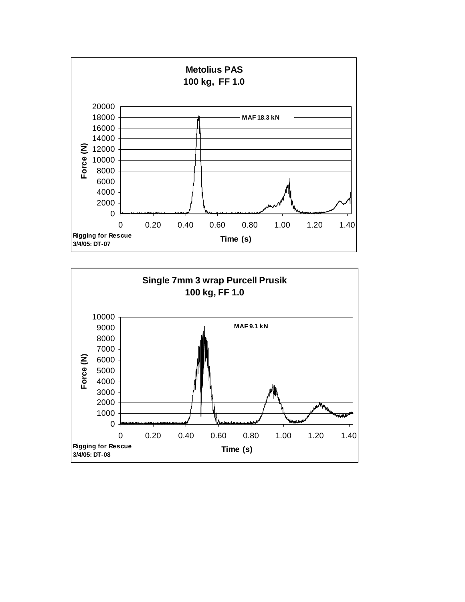

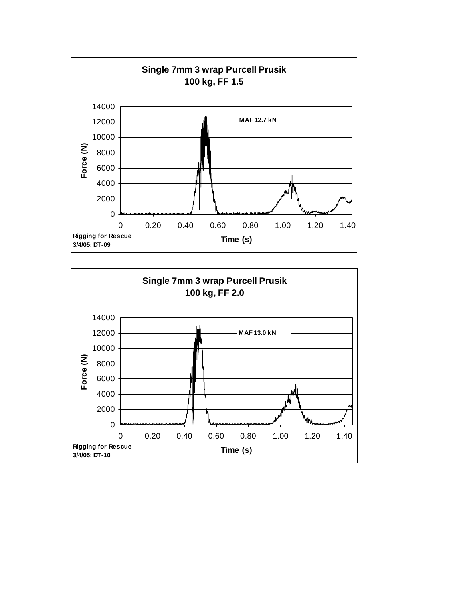

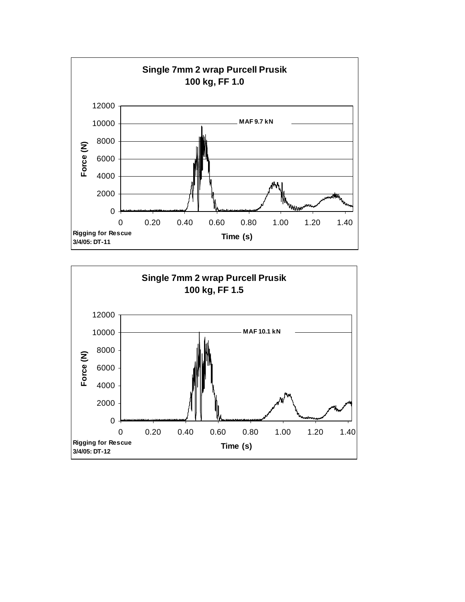

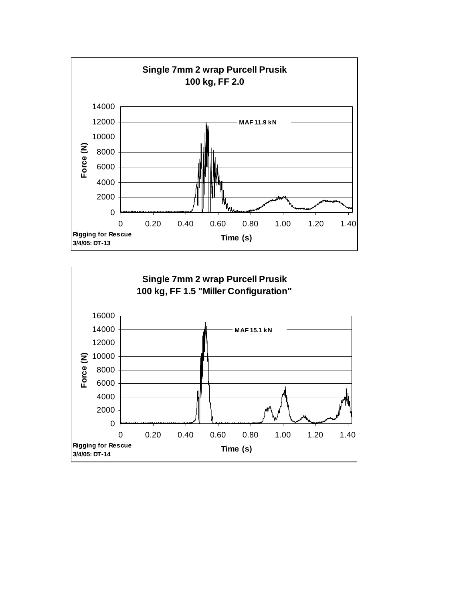

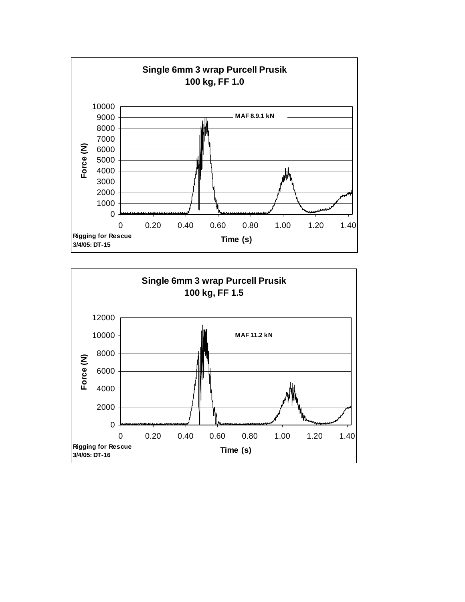

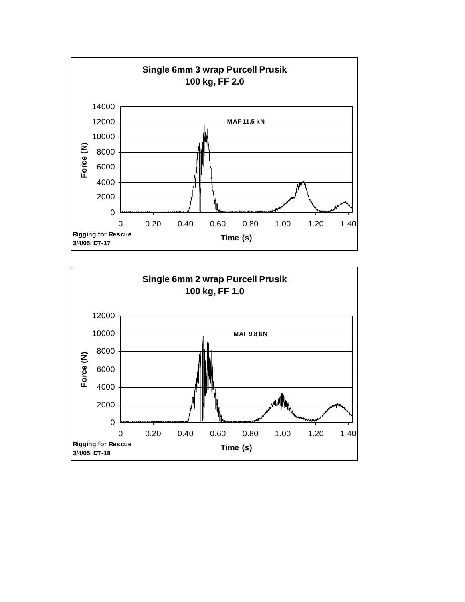

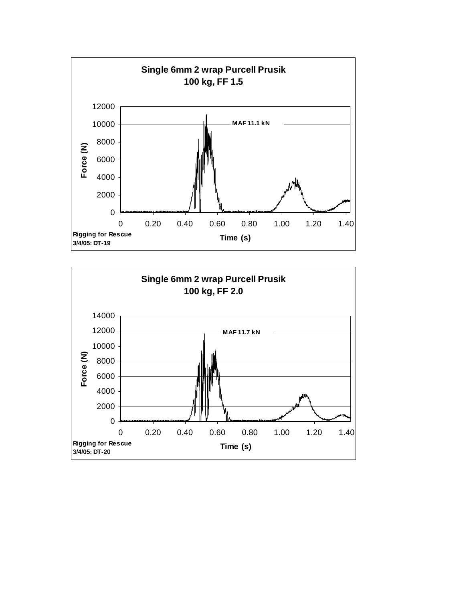

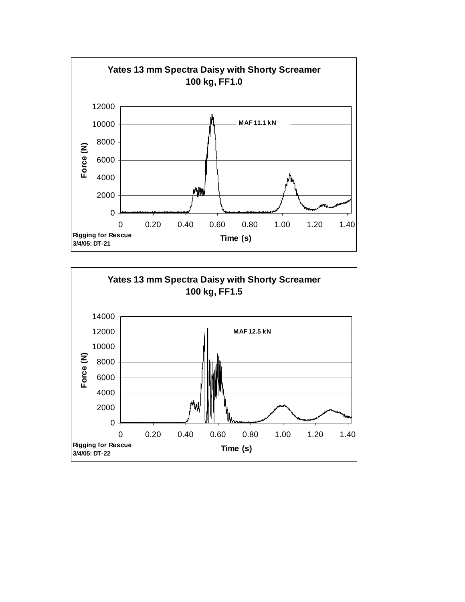

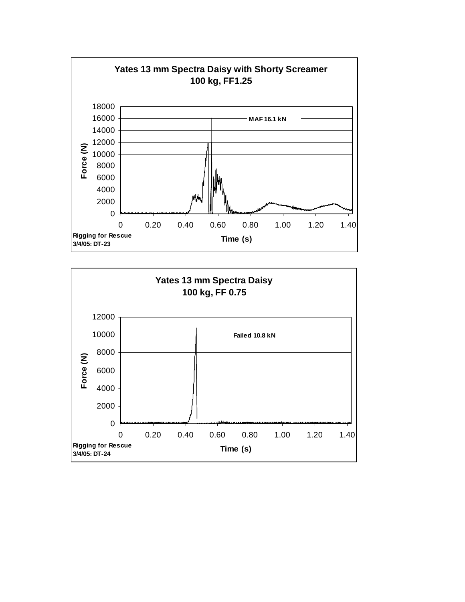

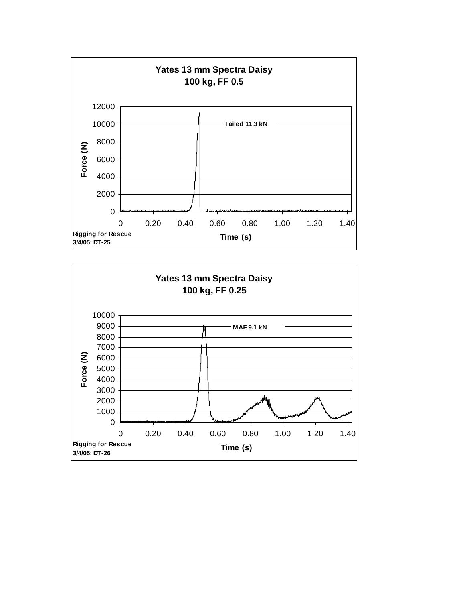

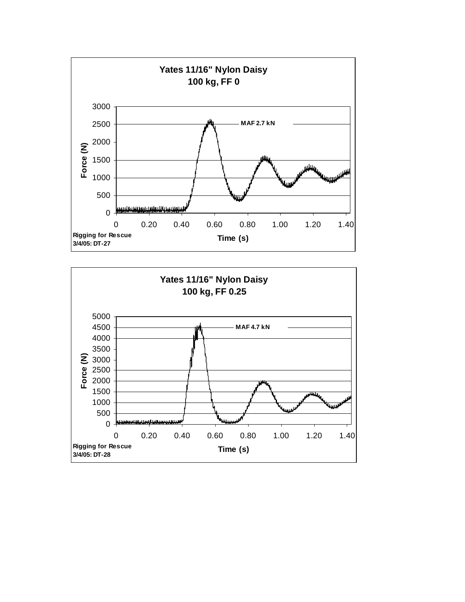

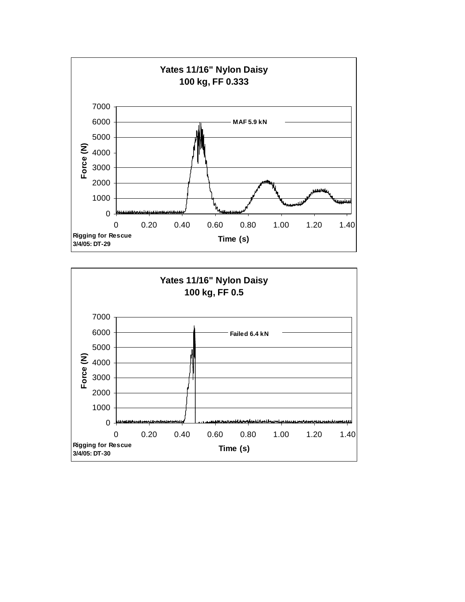

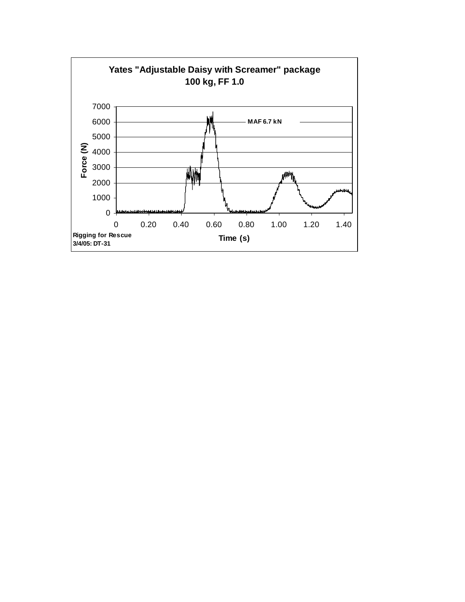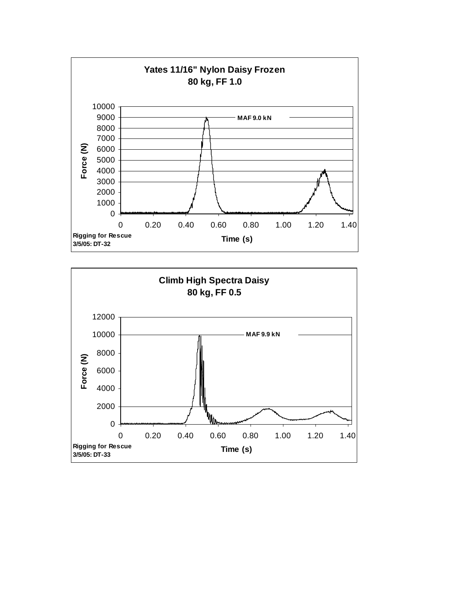

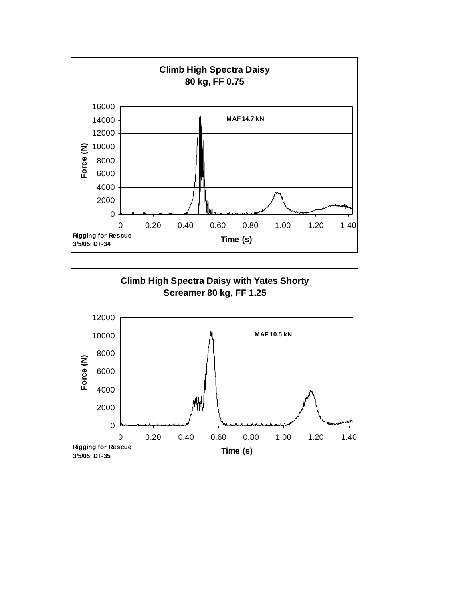

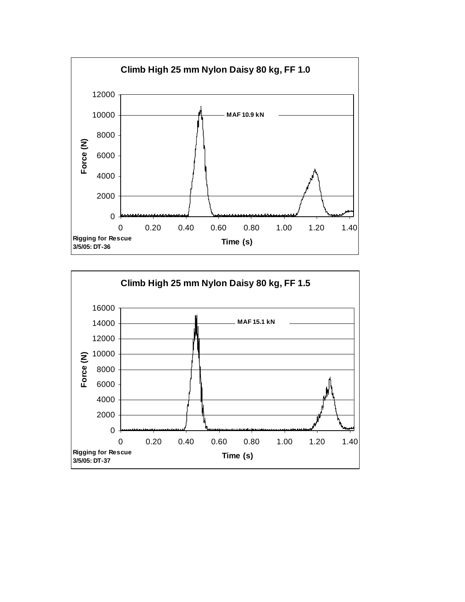

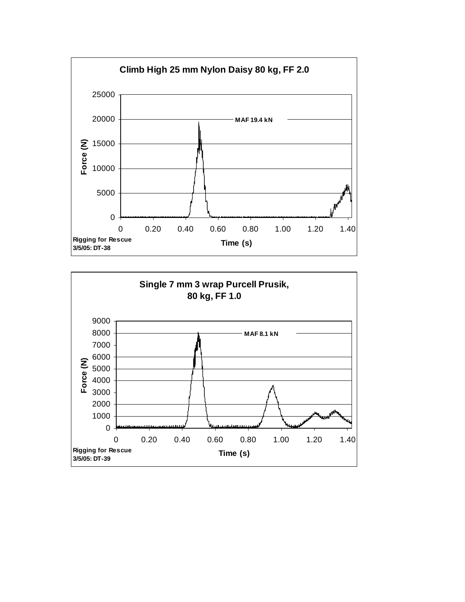

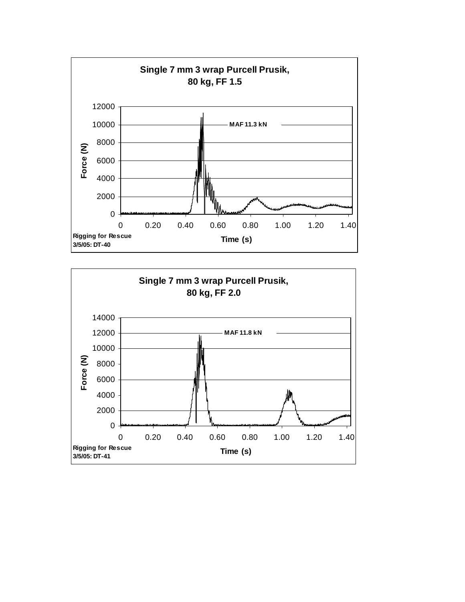

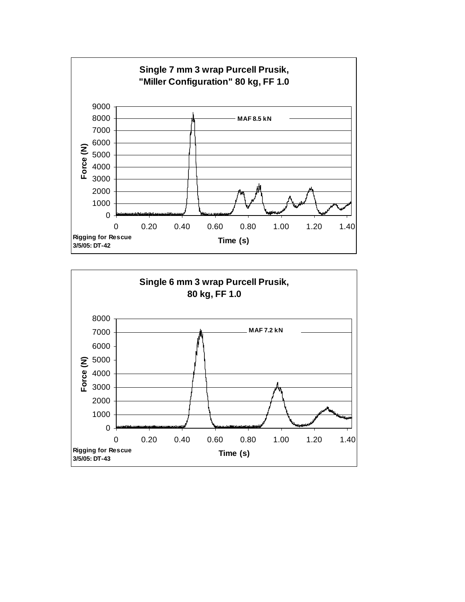

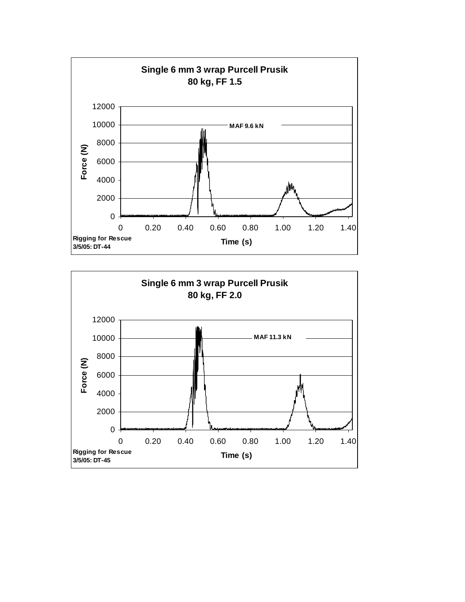

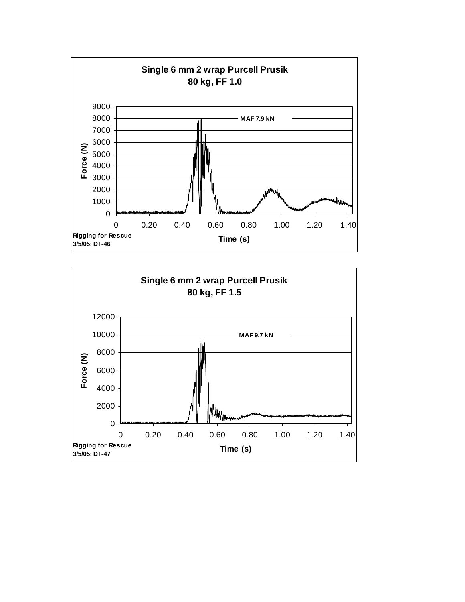

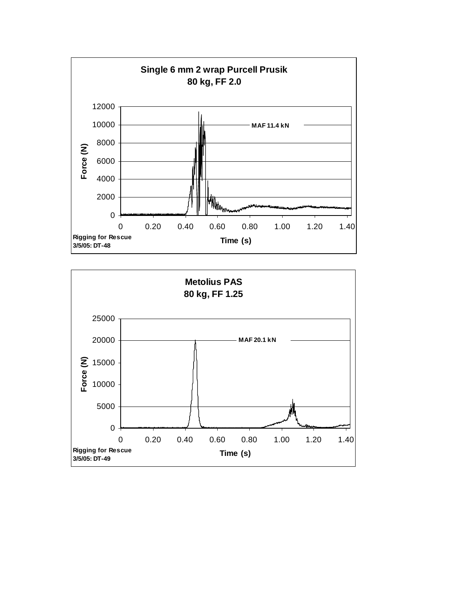

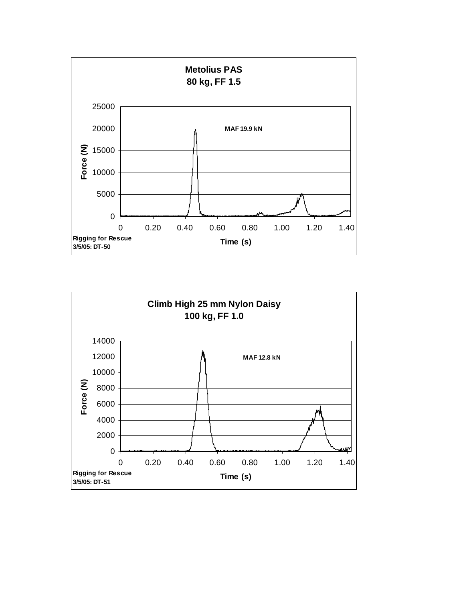